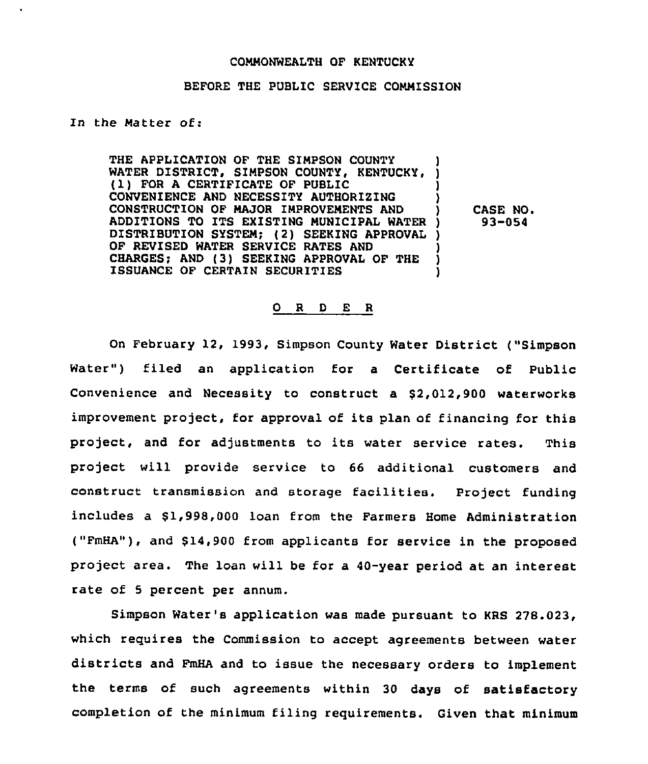#### COMMONWEALTH OF KENTUCKY

## BEFORE THE PUBLIC SERVICE COMMISSION

### In the Matter of:

THE APPLICATION OF THE SIMPSON COUNTY WATER DISTRICT, SIMPSON COUNTY, KENTUCKY, (1) FOR <sup>A</sup> CERTIFICATE OF PUBLIC ) CONVENIENCE AND NECESSITY AUTHORIZING ) CONSTRUCTION OF MAJOR IMPROVEMENTS AND ) ADDITIONS TO ITS EXISTING MUNICIPAL WATER ) DISTRIBUTION SYSTEM; (2) SEEKING APPROVAL ) OF REVISED WATER SERVICE RATES AND (3)<br>CHARGES; AND (3) SEEKING APPROVAL OF THE ) CHARGES; AND (3) SEEKING APPROVAL OF THE )<br>ISSUANCE OF CERTAIN SECURITIES ISSUANCE OF CERTAIN SECURITIES )

CASE NO. 93-054

#### 0 <sup>R</sup> <sup>D</sup> E <sup>R</sup>

On February 12, 1993, Simpson County Water District ("Simpson Water") filed an application for a Certificate of Public Convenience and Necessity to construct a \$2,012,900 waterworks improvement project, for approval of its plan of financing for this project, and for adjustments to its water service rates. This project will provide service to 66 additional customers and construct transmission and storage facilities. Project funding includes a \$1,998,000 loan from the Farmers Home Administration ("FmHA"), and \$14,900 from applicants for service in the proposed project area. The loan will be for a 40-year period at an interest rate of 5 percent per annum.

Simpson Water's application was made pursuant to KRS 278.023, which requires the Commission to accept agreements between water districts and FmHA and to issue the necessary orders to implement the terms of such agreements within 30 days of satisfactory completion of the minimum filing requirements. Given that minimum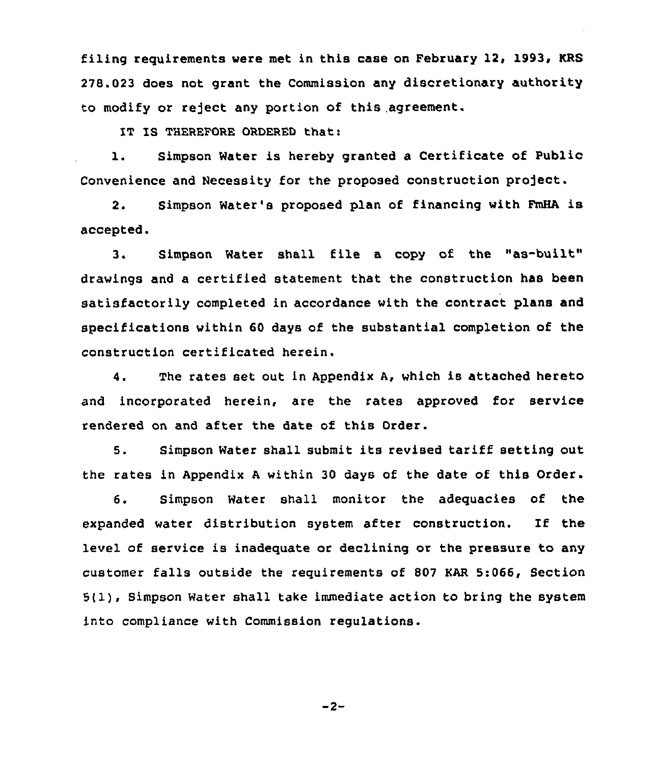filing requirements were met in this case on February 12, 1993, KRS 278.023 does not grant the Commission any discretionary authority to modify or reject any portion of this agreement.

IT IS THEREFORE ORDERED that:

1. Simpson Water is hereby granted a Certificate of Public Convenience and Necessity for the proposed construction project.

2. Simpson Water's proposed plan of financing with FmHA is accepted.

3. Simpson Water shall file <sup>a</sup> copy of the "as-built" drawings and a certified statement that the construction has been satisfactorily completed in accordance with the contract plans and specifications within 60 days of the substantial completion of the construction certificated herein.

4. The rates set out in Appendix A, which is attached hereto and incorporated herein, are the rates approved for service rendered on and after the date of this Order.

5. Simpson Water shall submit its revised tariff setting out the rates in Appendix <sup>A</sup> within 30 days of the date of this Order.

6. Simpson Water shall monitor the adequacies of the expanded water distribution system after construction. If the level of service is inadequate or declining or the pressure to any customer falls outside the requirements of 807 KAR 5:066, Section 5(1), Simpson Water shall take immediate action to bring the system into compliance with Commission regulations.

 $-2-$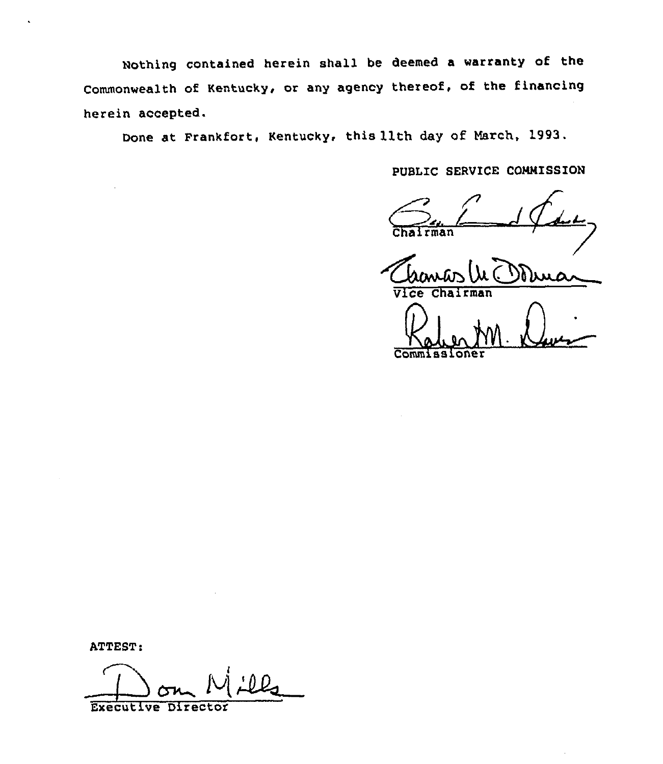Nothing contained herein shall be deemed a warranty of the Commonwealth of Kentucky, or any agency thereof, of the financing herein accepted.

Done at Frankfort, Kentucky. this 11th day of March, 1993.

PUBLIC SERVICE COMMISSION

 $man$ 

 $\sqrt{V}$ ce Chairma

Commissione

ATTEST:

ATTEST:<br>Don Mill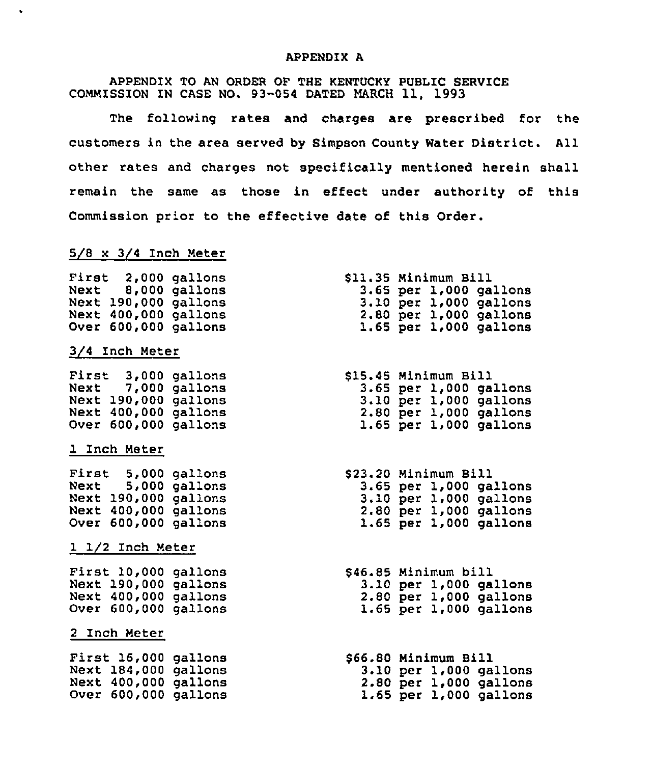### APPENDIX A

APPENDIX TO AN ORDER OF THE KENTUCKY PUBLIC SERVICE COMMISSION IN CASE NO. 93-054 DATED MARCH 11, 1993

The following rates and charges are prescribed for the customers in the area served by Simpson County Water District. All other rates and charges not specifically mentioned herein shall remain the same as those in effect under authority of this Commission prior to the effective date of this Order.

# 5/8 x 3/4 Inch Meter

| First |                      | $2,000$ gallons |
|-------|----------------------|-----------------|
| Next  |                      | 8,000 gallons   |
|       | Next 190,000 gallons |                 |
|       | Next 400,000 gallons |                 |
|       |                      |                 |
|       | Over 600,000 gallons |                 |

### 3/4 Inch Meter

 $\bullet$ 

First 3,000 gallon Next 7,000 gallon Next 190,000 gallon Next 400,000 gallon Over 600,000 gallon

### 1 Inch Meter

First 5,000 gallon Next 5,000 gallon Next 190,000 gallons Next 400,000 gallons Over 600,000 gallons

### 1 1/2 Inch Meter

First 10,000 gallon Next 190,000 gallon Next 400,000 gallon Over 600,000 gallon

#### 2 Inch Meter

First 16,000 gallons Next 184,000 gallons Next 400,000 gallons Over 600,000 gallons

| \$11.35 Minimum Bill |  |                            |
|----------------------|--|----------------------------|
|                      |  | $3.65$ per $1,000$ gallons |
|                      |  | $3.10$ per $1,000$ gallons |
|                      |  | 2.80 per 1,000 gallons     |
|                      |  | $1.65$ per $1,000$ gallons |

| \$15.45 Minimum Bill |  |                            |
|----------------------|--|----------------------------|
|                      |  | 3.65 per 1,000 gallons     |
|                      |  | 3.10 per 1,000 gallons     |
|                      |  | $2.80$ per $1,000$ gallons |
|                      |  | 1.65 per 1,000 gallons     |

| \$23.20 Minimum Bill |  |                        |
|----------------------|--|------------------------|
|                      |  | 3.65 per 1,000 gallons |
|                      |  | 3.10 per 1,000 gallons |
|                      |  | 2.80 per 1,000 gallons |
|                      |  | 1.65 per 1,000 gallons |

| \$46.85 Minimum bill |  |                            |
|----------------------|--|----------------------------|
|                      |  | 3.10 per 1,000 gallons     |
|                      |  | $2.80$ per $1,000$ gallons |
|                      |  | 1.65 per 1,000 gallons     |

\$66.80 Minimum Bill 3.10 per 1,000 gallons 2.80 per 1,000 gallons 1.65 per 1,000 gallons